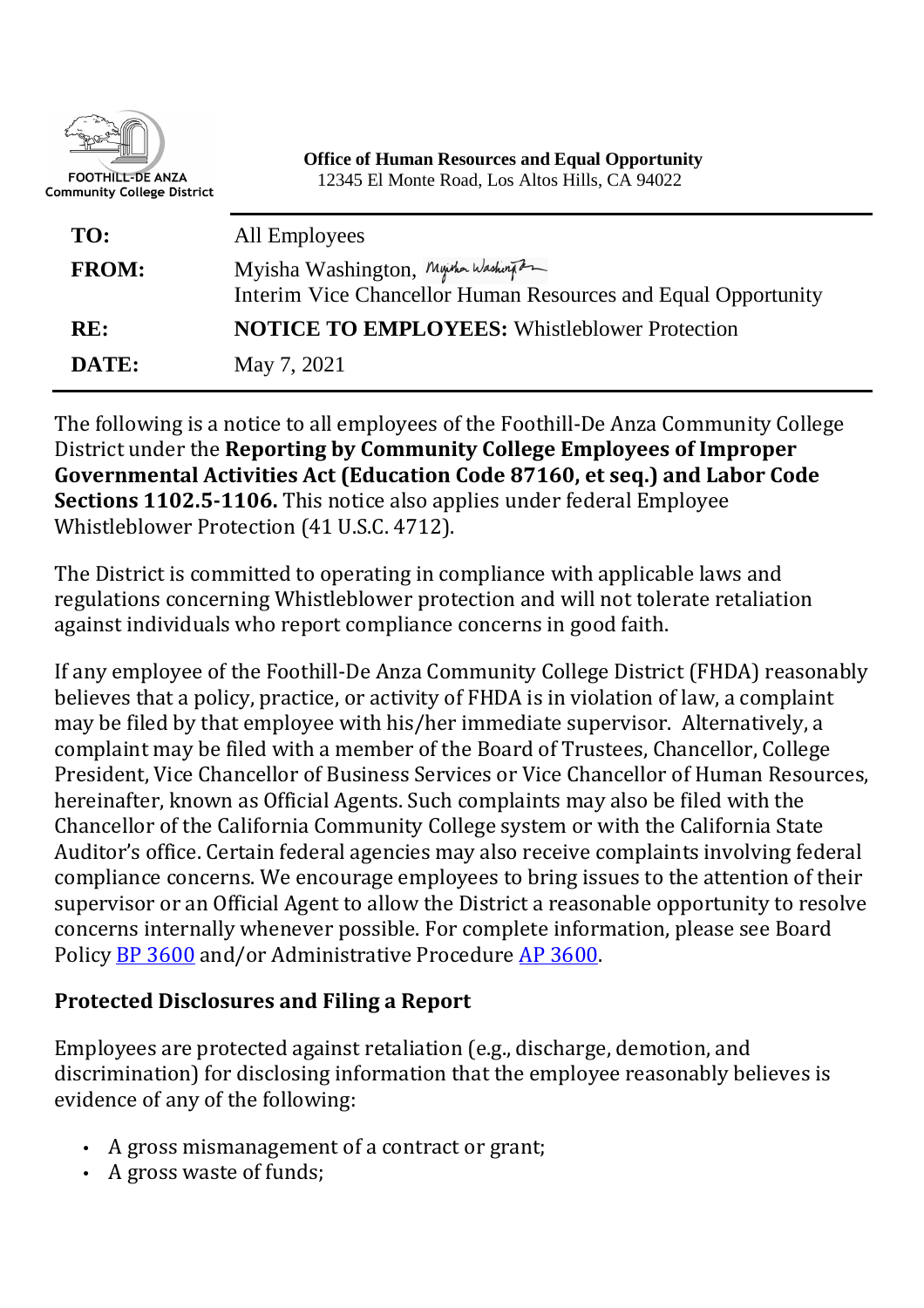

| TO:          | All Employees                                                                                         |
|--------------|-------------------------------------------------------------------------------------------------------|
| <b>FROM:</b> | Myisha Washington, Myther Washington<br>Interim Vice Chancellor Human Resources and Equal Opportunity |
| RE:          | <b>NOTICE TO EMPLOYEES:</b> Whistleblower Protection                                                  |
| DATE:        | May 7, 2021                                                                                           |

The following is a notice to all employees of the Foothill-De Anza Community College District under the **Reporting by Community College Employees of Improper Governmental Activities Act (Education Code 87160, et seq.) and Labor Code Sections 1102.5-1106.** This notice also applies under federal Employee Whistleblower Protection (41 U.S.C. 4712).

The District is committed to operating in compliance with applicable laws and regulations concerning Whistleblower protection and will not tolerate retaliation against individuals who report compliance concerns in good faith.

If any employee of the Foothill-De Anza Community College District (FHDA) reasonably believes that a policy, practice, or activity of FHDA is in violation of law, a complaint may be filed by that employee with his/her immediate supervisor. Alternatively, a complaint may be filed with a member of the Board of Trustees, Chancellor, College President, Vice Chancellor of Business Services or Vice Chancellor of Human Resources, hereinafter, known as Official Agents. Such complaints may also be filed with the Chancellor of the California Community College system or with the California State Auditor's office. Certain federal agencies may also receive complaints involving federal compliance concerns. We encourage employees to bring issues to the attention of their supervisor or an Official Agent to allow the District a reasonable opportunity to resolve concerns internally whenever possible. For complete information, please see Board Policy BP 3600 and/or Administrative Procedure AP 3600.

## **Protected Disclosures and Filing a Report**

Employees are protected against retaliation (e.g., discharge, demotion, and discrimination) for disclosing information that the employee reasonably believes is evidence of any of the following:

- A gross mismanagement of a contract or grant;
- A gross waste of funds;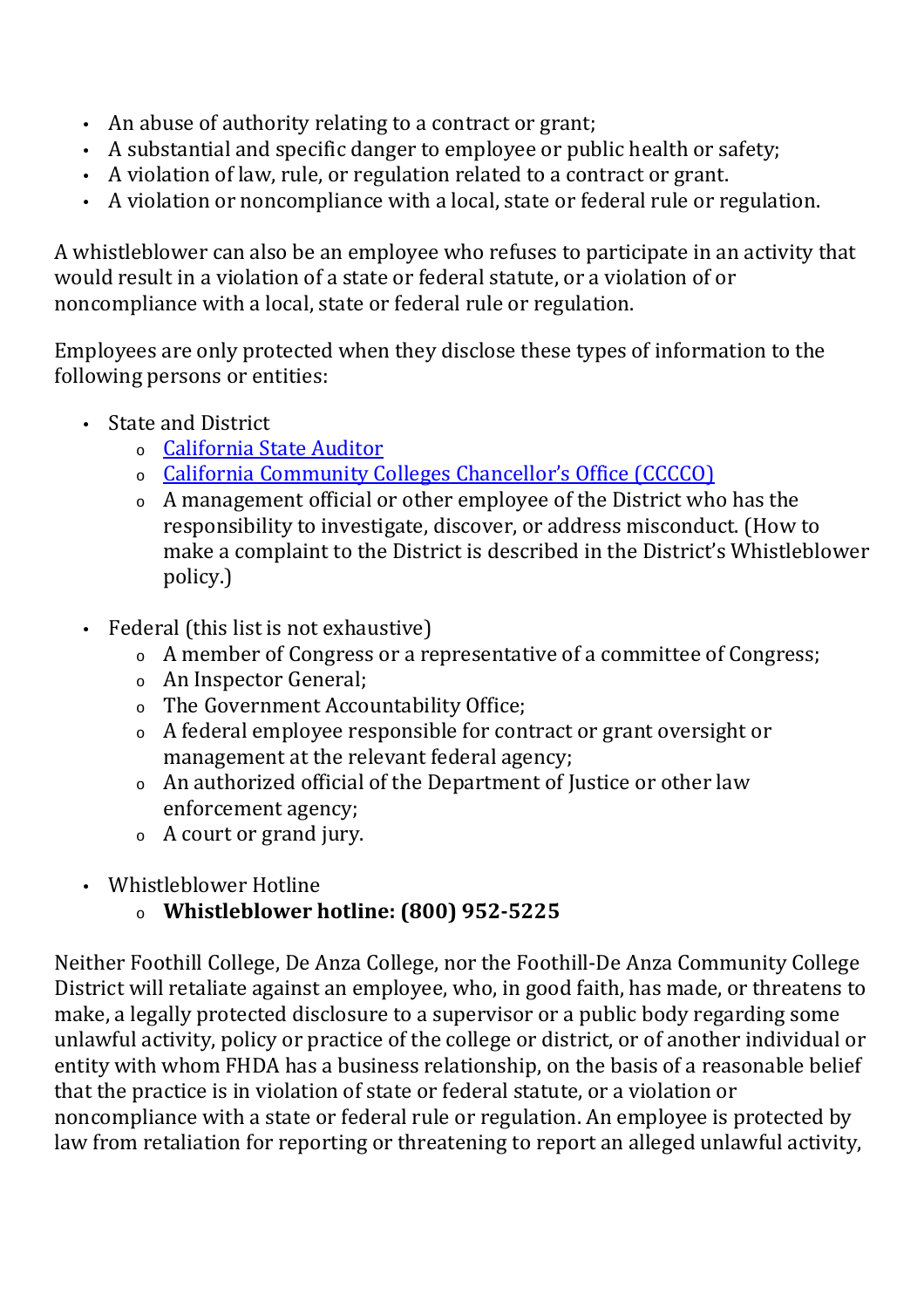- An abuse of authority relating to a contract or grant;
- A substantial and specific danger to employee or public health or safety;
- A violation of law, rule, or regulation related to a contract or grant.
- A violation or noncompliance with a local, state or federal rule or regulation.

A whistleblower can also be an employee who refuses to participate in an activity that would result in a violation of a state or federal statute, or a violation of or noncompliance with a local, state or federal rule or regulation.

Employees are only protected when they disclose these types of information to the following persons or entities:

- State and District
	- <sup>o</sup> California State Auditor
	- <sup>o</sup> California Community Colleges Chancellor's Office (CCCCO)
	- <sup>o</sup> A management official or other employee of the District who has the responsibility to investigate, discover, or address misconduct. (How to make a complaint to the District is described in the District's Whistleblower policy.)
- Federal (this list is not exhaustive)
	- <sup>o</sup> A member of Congress or a representative of a committee of Congress;
	- <sup>o</sup> An Inspector General;
	- <sup>o</sup> The Government Accountability Office;
	- <sup>o</sup> A federal employee responsible for contract or grant oversight or management at the relevant federal agency;
	- <sup>o</sup> An authorized official of the Department of Justice or other law enforcement agency;
	- <sup>o</sup> A court or grand jury.
- Whistleblower Hotline
	- <sup>o</sup> **Whistleblower hotline: (800) 952-5225**

Neither Foothill College, De Anza College, nor the Foothill-De Anza Community College District will retaliate against an employee, who, in good faith, has made, or threatens to make, a legally protected disclosure to a supervisor or a public body regarding some unlawful activity, policy or practice of the college or district, or of another individual or entity with whom FHDA has a business relationship, on the basis of a reasonable belief that the practice is in violation of state or federal statute, or a violation or noncompliance with a state or federal rule or regulation. An employee is protected by law from retaliation for reporting or threatening to report an alleged unlawful activity,